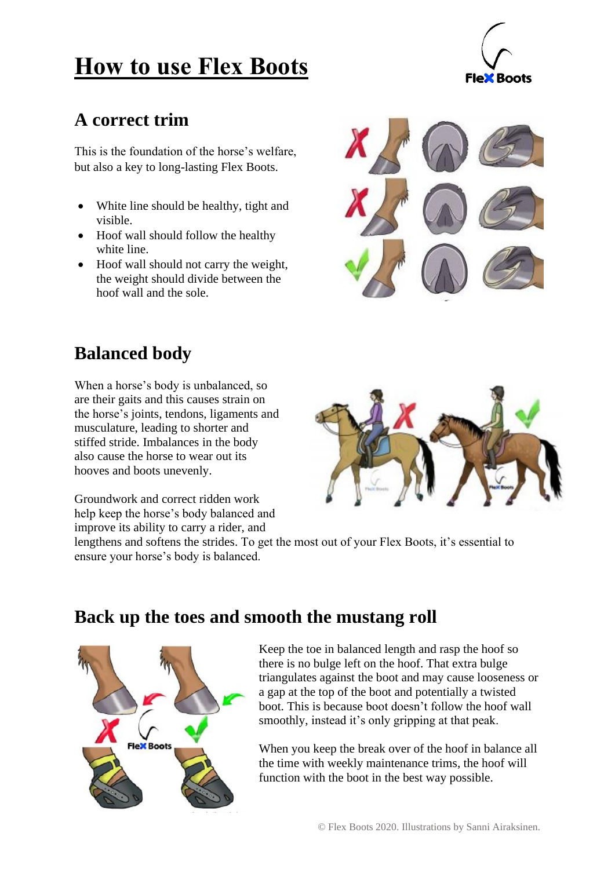# **How to use Flex Boots**

### **A correct trim**

This is the foundation of the horse's welfare, but also a key to long-lasting Flex Boots.

- White line should be healthy, tight and visible.
- Hoof wall should follow the healthy white line.
- Hoof wall should not carry the weight, the weight should divide between the hoof wall and the sole.



## **Balanced body**

When a horse's body is unbalanced, so are their gaits and this causes strain on the horse's joints, tendons, ligaments and musculature, leading to shorter and stiffed stride. Imbalances in the body also cause the horse to wear out its hooves and boots unevenly.

Groundwork and correct ridden work help keep the horse's body balanced and improve its ability to carry a rider, and

lengthens and softens the strides. To get the most out of your Flex Boots, it's essential to ensure your horse's body is balanced.



### **Back up the toes and smooth the mustang roll**



Keep the toe in balanced length and rasp the hoof so there is no bulge left on the hoof. That extra bulge triangulates against the boot and may cause looseness or a gap at the top of the boot and potentially a twisted boot. This is because boot doesn't follow the hoof wall smoothly, instead it's only gripping at that peak.

When you keep the break over of the hoof in balance all the time with weekly maintenance trims, the hoof will function with the boot in the best way possible.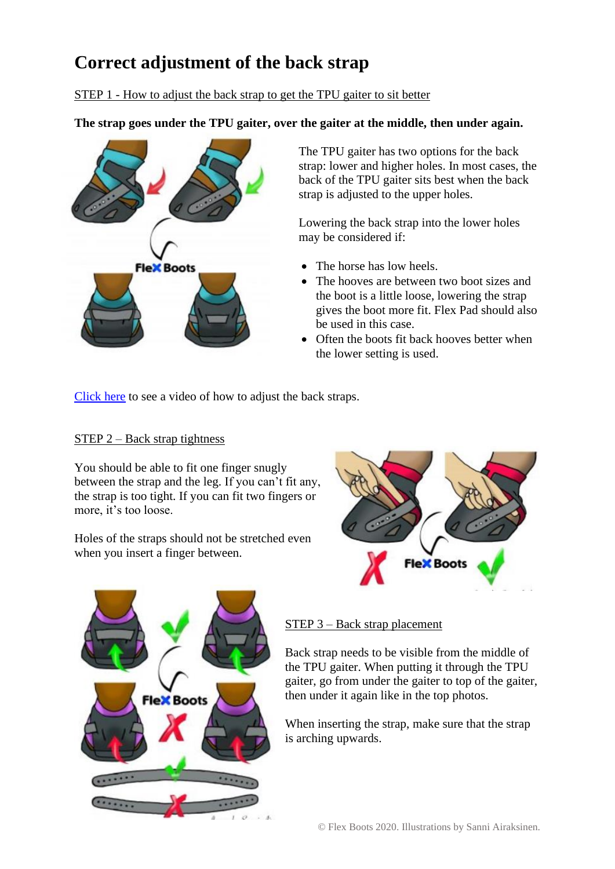## **Correct adjustment of the back strap**

STEP 1 - How to adjust the back strap to get the TPU gaiter to sit better

**The strap goes under the TPU gaiter, over the gaiter at the middle, then under again.**



The TPU gaiter has two options for the back strap: lower and higher holes. In most cases, the back of the TPU gaiter sits best when the back strap is adjusted to the upper holes.

Lowering the back strap into the lower holes may be considered if:

- The horse has low heels.
- The hooves are between two boot sizes and the boot is a little loose, lowering the strap gives the boot more fit. Flex Pad should also be used in this case.
- Often the boots fit back hooves better when the lower setting is used.

[Click here](https://www.youtube.com/watch?v=85MVfAWnUdY&feature=youtu.be) to see a video of how to adjust the back straps.

#### STEP 2 – Back strap tightness

You should be able to fit one finger snugly between the strap and the leg. If you can't fit any, the strap is too tight. If you can fit two fingers or more, it's too loose.

Holes of the straps should not be stretched even when you insert a finger between.





#### STEP 3 – Back strap placement

Back strap needs to be visible from the middle of the TPU gaiter. When putting it through the TPU gaiter, go from under the gaiter to top of the gaiter, then under it again like in the top photos.

When inserting the strap, make sure that the strap is arching upwards.